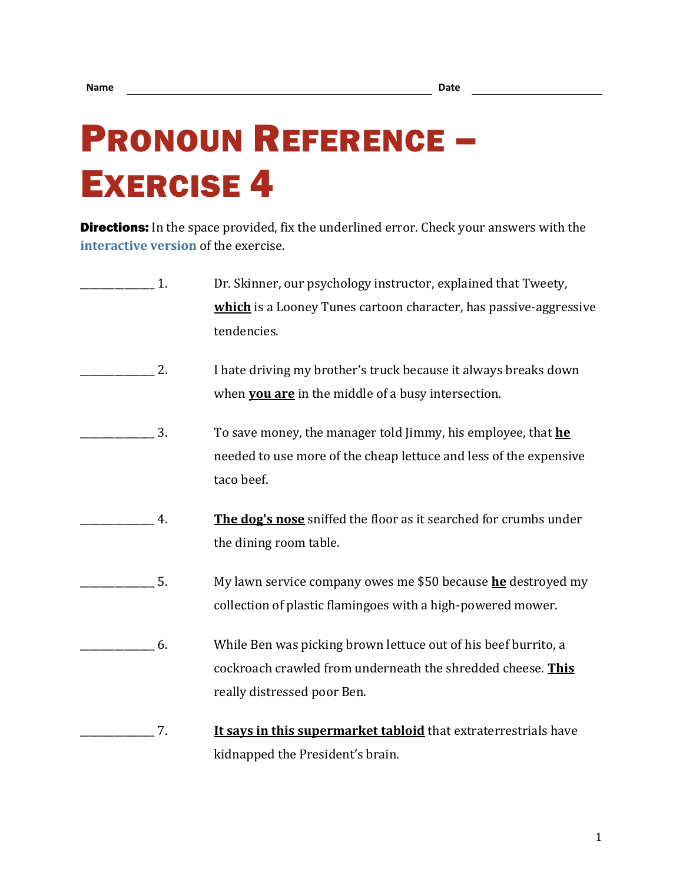## PRONOUN REFERENCE – EXERCISE 4

**Directions:** In the space provided, fix the underlined error. Check your answers with the **[interactive version](https://chompchomp.com/hotpotatoes/proref04.htm)** of the exercise.

| 1. | Dr. Skinner, our psychology instructor, explained that Tweety,      |
|----|---------------------------------------------------------------------|
|    | which is a Looney Tunes cartoon character, has passive-aggressive   |
|    | tendencies.                                                         |
| 2. | I hate driving my brother's truck because it always breaks down     |
|    | when you are in the middle of a busy intersection.                  |
| 3. | To save money, the manager told Jimmy, his employee, that he        |
|    | needed to use more of the cheap lettuce and less of the expensive   |
|    | taco beef.                                                          |
| 4. | The dog's nose sniffed the floor as it searched for crumbs under    |
|    | the dining room table.                                              |
| 5. | My lawn service company owes me \$50 because <b>he</b> destroyed my |
|    | collection of plastic flamingoes with a high-powered mower.         |
| 6. | While Ben was picking brown lettuce out of his beef burrito, a      |
|    | cockroach crawled from underneath the shredded cheese. This         |
|    | really distressed poor Ben.                                         |
| 7. | It says in this supermarket tabloid that extraterrestrials have     |
|    | kidnapped the President's brain.                                    |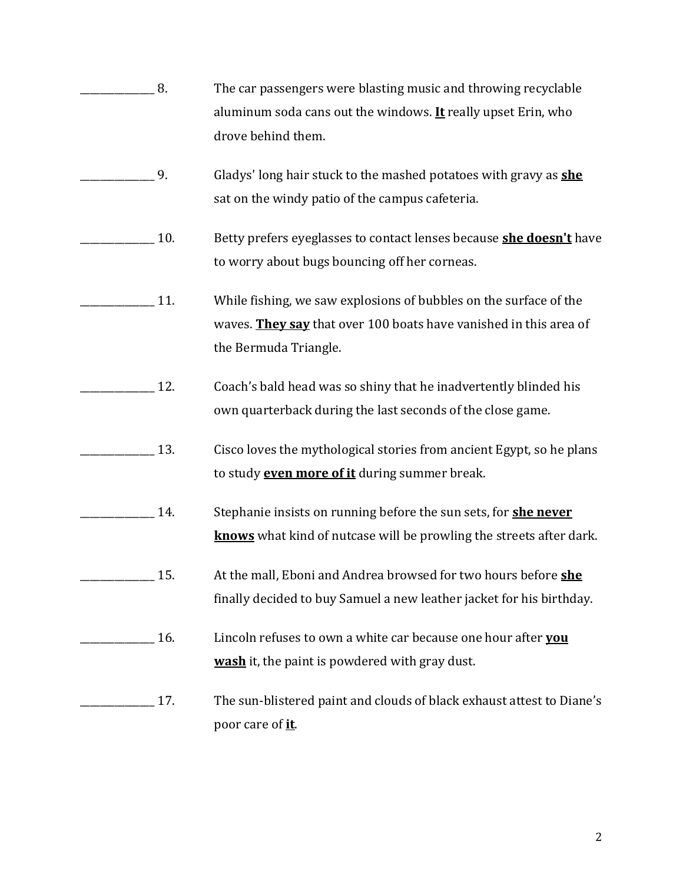- \_\_\_\_\_\_\_\_\_\_\_\_\_\_\_ 8. The car passengers were blasting music and throwing recyclable aluminum soda cans out the windows. **It** really upset Erin, who drove behind them.
- \_\_\_\_\_\_\_\_\_\_\_\_\_\_\_ 9. Gladys' long hair stuck to the mashed potatoes with gravy as **she** sat on the windy patio of the campus cafeteria.
- \_\_\_\_\_\_\_\_\_\_\_\_\_\_\_ 10. Betty prefers eyeglasses to contact lenses because **she doesn't** have to worry about bugs bouncing off her corneas.
- \_\_\_\_\_\_\_\_\_\_\_\_\_\_\_ 11. While fishing, we saw explosions of bubbles on the surface of the waves. **They say** that over 100 boats have vanished in this area of the Bermuda Triangle.
- 12. Coach's bald head was so shiny that he inadvertently blinded his own quarterback during the last seconds of the close game.
- 13. Cisco loves the mythological stories from ancient Egypt, so he plans to study **even more of it** during summer break.
- \_\_\_\_\_\_\_\_\_\_\_\_\_\_\_ 14. Stephanie insists on running before the sun sets, for **she never knows** what kind of nutcase will be prowling the streets after dark.
- \_\_\_\_\_\_\_\_\_\_\_\_\_\_\_ 15. At the mall, Eboni and Andrea browsed for two hours before **she** finally decided to buy Samuel a new leather jacket for his birthday.
- \_\_\_\_\_\_\_\_\_\_\_\_\_\_\_ 16. Lincoln refuses to own a white car because one hour after **you wash** it, the paint is powdered with gray dust.

## 17. The sun-blistered paint and clouds of black exhaust attest to Diane's poor care of **it**.